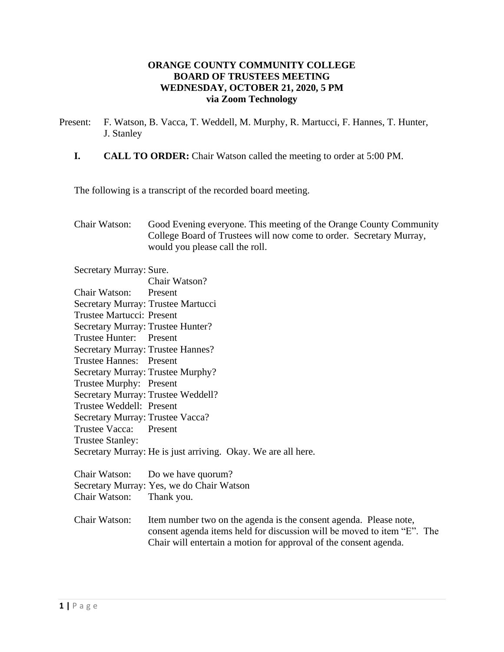## **ORANGE COUNTY COMMUNITY COLLEGE BOARD OF TRUSTEES MEETING WEDNESDAY, OCTOBER 21, 2020, 5 PM via Zoom Technology**

- Present: F. Watson, B. Vacca, T. Weddell, M. Murphy, R. Martucci, F. Hannes, T. Hunter, J. Stanley
	- **I. CALL TO ORDER:** Chair Watson called the meeting to order at 5:00 PM.

The following is a transcript of the recorded board meeting.

Chair Watson: Good Evening everyone. This meeting of the Orange County Community College Board of Trustees will now come to order. Secretary Murray, would you please call the roll.

Secretary Murray: Sure.

|                                    | Chair Watson?                                                 |
|------------------------------------|---------------------------------------------------------------|
| Chair Watson: Present              |                                                               |
| Secretary Murray: Trustee Martucci |                                                               |
| Trustee Martucci: Present          |                                                               |
| Secretary Murray: Trustee Hunter?  |                                                               |
| Trustee Hunter: Present            |                                                               |
| Secretary Murray: Trustee Hannes?  |                                                               |
| Trustee Hannes: Present            |                                                               |
| Secretary Murray: Trustee Murphy?  |                                                               |
| Trustee Murphy: Present            |                                                               |
| Secretary Murray: Trustee Weddell? |                                                               |
| Trustee Weddell: Present           |                                                               |
| Secretary Murray: Trustee Vacca?   |                                                               |
| Trustee Vacca: Present             |                                                               |
| Trustee Stanley:                   |                                                               |
|                                    | Secretary Murray: He is just arriving. Okay. We are all here. |
|                                    |                                                               |

| Chair Watson:            | Do we have quorum?                        |
|--------------------------|-------------------------------------------|
|                          | Secretary Murray: Yes, we do Chair Watson |
| Chair Watson: Thank you. |                                           |

Chair Watson: Item number two on the agenda is the consent agenda. Please note, consent agenda items held for discussion will be moved to item "E". The Chair will entertain a motion for approval of the consent agenda.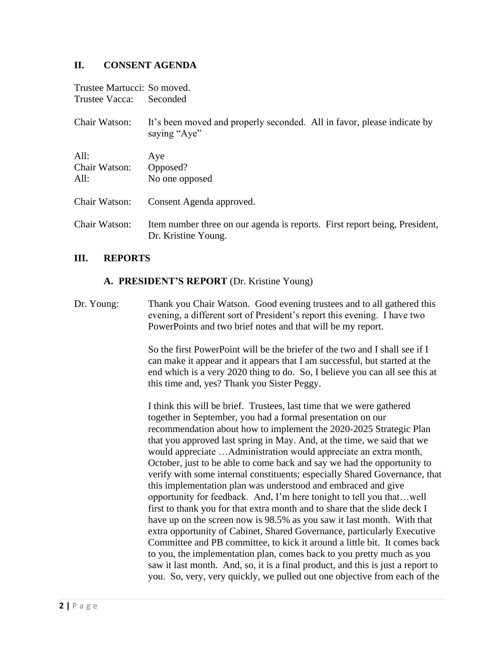## **II. CONSENT AGENDA**

| Trustee Martucci: So moved. |                                                                                                   |
|-----------------------------|---------------------------------------------------------------------------------------------------|
| Trustee Vacca:              | Seconded                                                                                          |
| Chair Watson:               | It's been moved and properly seconded. All in favor, please indicate by<br>saying "Aye"           |
| All:                        | Aye                                                                                               |
| Chair Watson:               | Opposed?                                                                                          |
| All:                        | No one opposed                                                                                    |
| Chair Watson:               | Consent Agenda approved.                                                                          |
| Chair Watson:               | Item number three on our agenda is reports. First report being, President,<br>Dr. Kristine Young. |

#### **III. REPORTS**

#### **A. PRESIDENT'S REPORT** (Dr. Kristine Young)

Dr. Young: Thank you Chair Watson. Good evening trustees and to all gathered this evening, a different sort of President's report this evening. I have two PowerPoints and two brief notes and that will be my report.

> So the first PowerPoint will be the briefer of the two and I shall see if I can make it appear and it appears that I am successful, but started at the end which is a very 2020 thing to do. So, I believe you can all see this at this time and, yes? Thank you Sister Peggy.

I think this will be brief. Trustees, last time that we were gathered together in September, you had a formal presentation on our recommendation about how to implement the 2020-2025 Strategic Plan that you approved last spring in May. And, at the time, we said that we would appreciate …Administration would appreciate an extra month, October, just to be able to come back and say we had the opportunity to verify with some internal constituents; especially Shared Governance, that this implementation plan was understood and embraced and give opportunity for feedback. And, I'm here tonight to tell you that…well first to thank you for that extra month and to share that the slide deck I have up on the screen now is 98.5% as you saw it last month. With that extra opportunity of Cabinet, Shared Governance, particularly Executive Committee and PB committee, to kick it around a little bit. It comes back to you, the implementation plan, comes back to you pretty much as you saw it last month. And, so, it is a final product, and this is just a report to you. So, very, very quickly, we pulled out one objective from each of the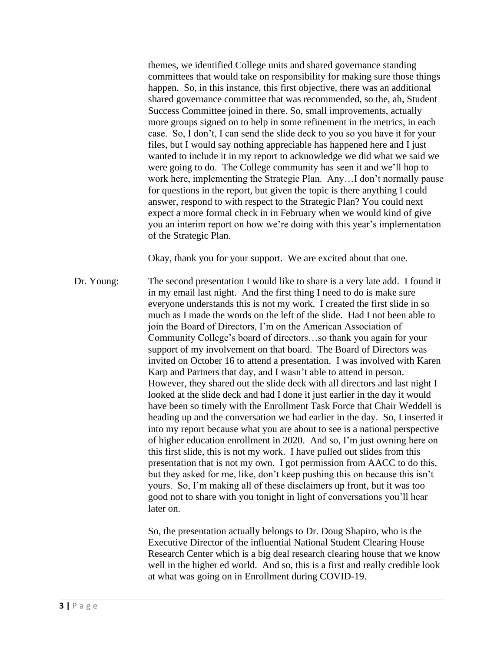themes, we identified College units and shared governance standing committees that would take on responsibility for making sure those things happen. So, in this instance, this first objective, there was an additional shared governance committee that was recommended, so the, ah, Student Success Committee joined in there. So, small improvements, actually more groups signed on to help in some refinement in the metrics, in each case. So, I don't, I can send the slide deck to you so you have it for your files, but I would say nothing appreciable has happened here and I just wanted to include it in my report to acknowledge we did what we said we were going to do. The College community has seen it and we'll hop to work here, implementing the Strategic Plan. Any…I don't normally pause for questions in the report, but given the topic is there anything I could answer, respond to with respect to the Strategic Plan? You could next expect a more formal check in in February when we would kind of give you an interim report on how we're doing with this year's implementation of the Strategic Plan.

Okay, thank you for your support. We are excited about that one.

Dr. Young: The second presentation I would like to share is a very late add. I found it in my email last night. And the first thing I need to do is make sure everyone understands this is not my work. I created the first slide in so much as I made the words on the left of the slide. Had I not been able to join the Board of Directors, I'm on the American Association of Community College's board of directors…so thank you again for your support of my involvement on that board. The Board of Directors was invited on October 16 to attend a presentation. I was involved with Karen Karp and Partners that day, and I wasn't able to attend in person. However, they shared out the slide deck with all directors and last night I looked at the slide deck and had I done it just earlier in the day it would have been so timely with the Enrollment Task Force that Chair Weddell is heading up and the conversation we had earlier in the day. So, I inserted it into my report because what you are about to see is a national perspective of higher education enrollment in 2020. And so, I'm just owning here on this first slide, this is not my work. I have pulled out slides from this presentation that is not my own. I got permission from AACC to do this, but they asked for me, like, don't keep pushing this on because this isn't yours. So, I'm making all of these disclaimers up front, but it was too good not to share with you tonight in light of conversations you'll hear later on.

> So, the presentation actually belongs to Dr. Doug Shapiro, who is the Executive Director of the influential National Student Clearing House Research Center which is a big deal research clearing house that we know well in the higher ed world. And so, this is a first and really credible look at what was going on in Enrollment during COVID-19.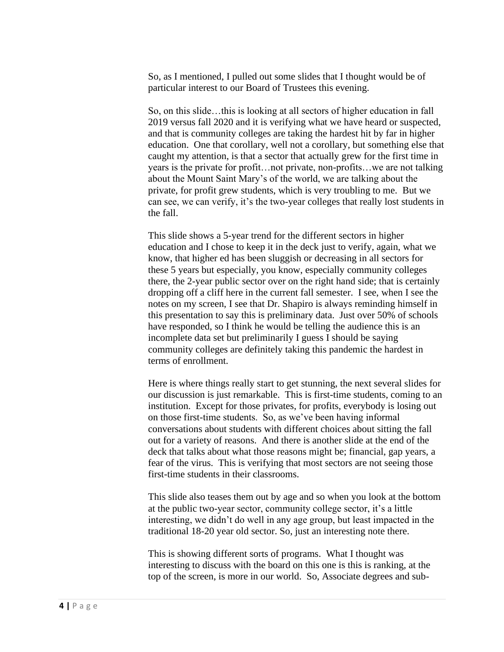So, as I mentioned, I pulled out some slides that I thought would be of particular interest to our Board of Trustees this evening.

So, on this slide…this is looking at all sectors of higher education in fall 2019 versus fall 2020 and it is verifying what we have heard or suspected, and that is community colleges are taking the hardest hit by far in higher education. One that corollary, well not a corollary, but something else that caught my attention, is that a sector that actually grew for the first time in years is the private for profit…not private, non-profits…we are not talking about the Mount Saint Mary's of the world, we are talking about the private, for profit grew students, which is very troubling to me. But we can see, we can verify, it's the two-year colleges that really lost students in the fall.

This slide shows a 5-year trend for the different sectors in higher education and I chose to keep it in the deck just to verify, again, what we know, that higher ed has been sluggish or decreasing in all sectors for these 5 years but especially, you know, especially community colleges there, the 2-year public sector over on the right hand side; that is certainly dropping off a cliff here in the current fall semester. I see, when I see the notes on my screen, I see that Dr. Shapiro is always reminding himself in this presentation to say this is preliminary data. Just over 50% of schools have responded, so I think he would be telling the audience this is an incomplete data set but preliminarily I guess I should be saying community colleges are definitely taking this pandemic the hardest in terms of enrollment.

Here is where things really start to get stunning, the next several slides for our discussion is just remarkable. This is first-time students, coming to an institution. Except for those privates, for profits, everybody is losing out on those first-time students. So, as we've been having informal conversations about students with different choices about sitting the fall out for a variety of reasons. And there is another slide at the end of the deck that talks about what those reasons might be; financial, gap years, a fear of the virus. This is verifying that most sectors are not seeing those first-time students in their classrooms.

This slide also teases them out by age and so when you look at the bottom at the public two-year sector, community college sector, it's a little interesting, we didn't do well in any age group, but least impacted in the traditional 18-20 year old sector. So, just an interesting note there.

This is showing different sorts of programs. What I thought was interesting to discuss with the board on this one is this is ranking, at the top of the screen, is more in our world. So, Associate degrees and sub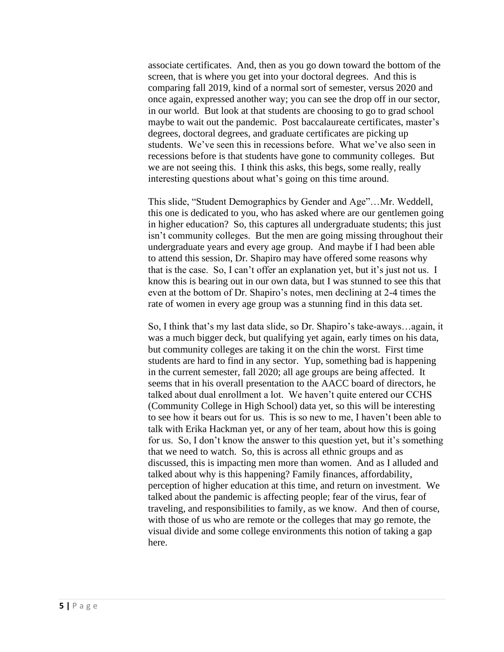associate certificates. And, then as you go down toward the bottom of the screen, that is where you get into your doctoral degrees. And this is comparing fall 2019, kind of a normal sort of semester, versus 2020 and once again, expressed another way; you can see the drop off in our sector, in our world. But look at that students are choosing to go to grad school maybe to wait out the pandemic. Post baccalaureate certificates, master's degrees, doctoral degrees, and graduate certificates are picking up students. We've seen this in recessions before. What we've also seen in recessions before is that students have gone to community colleges. But we are not seeing this. I think this asks, this begs, some really, really interesting questions about what's going on this time around.

This slide, "Student Demographics by Gender and Age"…Mr. Weddell, this one is dedicated to you, who has asked where are our gentlemen going in higher education? So, this captures all undergraduate students; this just isn't community colleges. But the men are going missing throughout their undergraduate years and every age group. And maybe if I had been able to attend this session, Dr. Shapiro may have offered some reasons why that is the case. So, I can't offer an explanation yet, but it's just not us. I know this is bearing out in our own data, but I was stunned to see this that even at the bottom of Dr. Shapiro's notes, men declining at 2-4 times the rate of women in every age group was a stunning find in this data set.

So, I think that's my last data slide, so Dr. Shapiro's take-aways…again, it was a much bigger deck, but qualifying yet again, early times on his data, but community colleges are taking it on the chin the worst. First time students are hard to find in any sector. Yup, something bad is happening in the current semester, fall 2020; all age groups are being affected. It seems that in his overall presentation to the AACC board of directors, he talked about dual enrollment a lot. We haven't quite entered our CCHS (Community College in High School) data yet, so this will be interesting to see how it bears out for us. This is so new to me, I haven't been able to talk with Erika Hackman yet, or any of her team, about how this is going for us. So, I don't know the answer to this question yet, but it's something that we need to watch. So, this is across all ethnic groups and as discussed, this is impacting men more than women. And as I alluded and talked about why is this happening? Family finances, affordability, perception of higher education at this time, and return on investment. We talked about the pandemic is affecting people; fear of the virus, fear of traveling, and responsibilities to family, as we know. And then of course, with those of us who are remote or the colleges that may go remote, the visual divide and some college environments this notion of taking a gap here.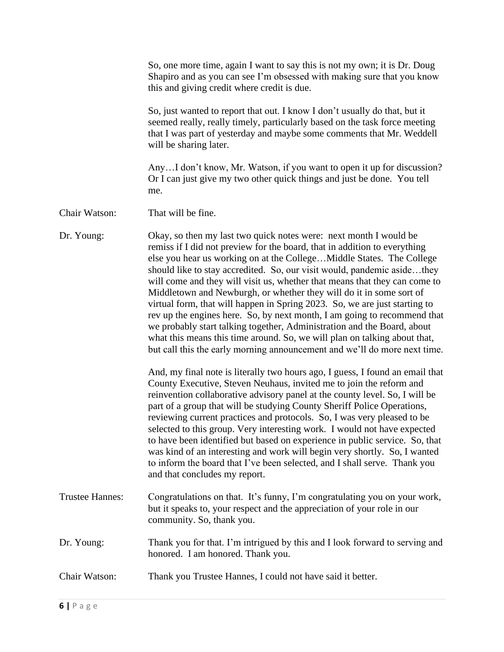|                        | So, one more time, again I want to say this is not my own; it is Dr. Doug<br>Shapiro and as you can see I'm obsessed with making sure that you know<br>this and giving credit where credit is due.                                                                                                                                                                                                                                                                                                                                                                                                                                                                                                                                                                                                                                                                                                                                                                                                                                                                                                                                                                                                                                                                                                                                                                                                                                                                                         |
|------------------------|--------------------------------------------------------------------------------------------------------------------------------------------------------------------------------------------------------------------------------------------------------------------------------------------------------------------------------------------------------------------------------------------------------------------------------------------------------------------------------------------------------------------------------------------------------------------------------------------------------------------------------------------------------------------------------------------------------------------------------------------------------------------------------------------------------------------------------------------------------------------------------------------------------------------------------------------------------------------------------------------------------------------------------------------------------------------------------------------------------------------------------------------------------------------------------------------------------------------------------------------------------------------------------------------------------------------------------------------------------------------------------------------------------------------------------------------------------------------------------------------|
|                        | So, just wanted to report that out. I know I don't usually do that, but it<br>seemed really, really timely, particularly based on the task force meeting<br>that I was part of yesterday and maybe some comments that Mr. Weddell<br>will be sharing later.                                                                                                                                                                                                                                                                                                                                                                                                                                                                                                                                                                                                                                                                                                                                                                                                                                                                                                                                                                                                                                                                                                                                                                                                                                |
|                        | AnyI don't know, Mr. Watson, if you want to open it up for discussion?<br>Or I can just give my two other quick things and just be done. You tell<br>me.                                                                                                                                                                                                                                                                                                                                                                                                                                                                                                                                                                                                                                                                                                                                                                                                                                                                                                                                                                                                                                                                                                                                                                                                                                                                                                                                   |
| Chair Watson:          | That will be fine.                                                                                                                                                                                                                                                                                                                                                                                                                                                                                                                                                                                                                                                                                                                                                                                                                                                                                                                                                                                                                                                                                                                                                                                                                                                                                                                                                                                                                                                                         |
| Dr. Young:             | Okay, so then my last two quick notes were: next month I would be<br>remiss if I did not preview for the board, that in addition to everything<br>else you hear us working on at the CollegeMiddle States. The College<br>should like to stay accredited. So, our visit would, pandemic asidethey<br>will come and they will visit us, whether that means that they can come to<br>Middletown and Newburgh, or whether they will do it in some sort of<br>virtual form, that will happen in Spring 2023. So, we are just starting to<br>rev up the engines here. So, by next month, I am going to recommend that<br>we probably start talking together, Administration and the Board, about<br>what this means this time around. So, we will plan on talking about that,<br>but call this the early morning announcement and we'll do more next time.<br>And, my final note is literally two hours ago, I guess, I found an email that<br>County Executive, Steven Neuhaus, invited me to join the reform and<br>reinvention collaborative advisory panel at the county level. So, I will be<br>part of a group that will be studying County Sheriff Police Operations,<br>reviewing current practices and protocols. So, I was very pleased to be<br>selected to this group. Very interesting work. I would not have expected<br>to have been identified but based on experience in public service. So, that<br>was kind of an interesting and work will begin very shortly. So, I wanted |
|                        | to inform the board that I've been selected, and I shall serve. Thank you<br>and that concludes my report.                                                                                                                                                                                                                                                                                                                                                                                                                                                                                                                                                                                                                                                                                                                                                                                                                                                                                                                                                                                                                                                                                                                                                                                                                                                                                                                                                                                 |
| <b>Trustee Hannes:</b> | Congratulations on that. It's funny, I'm congratulating you on your work,<br>but it speaks to, your respect and the appreciation of your role in our<br>community. So, thank you.                                                                                                                                                                                                                                                                                                                                                                                                                                                                                                                                                                                                                                                                                                                                                                                                                                                                                                                                                                                                                                                                                                                                                                                                                                                                                                          |
| Dr. Young:             | Thank you for that. I'm intrigued by this and I look forward to serving and<br>honored. I am honored. Thank you.                                                                                                                                                                                                                                                                                                                                                                                                                                                                                                                                                                                                                                                                                                                                                                                                                                                                                                                                                                                                                                                                                                                                                                                                                                                                                                                                                                           |
| Chair Watson:          | Thank you Trustee Hannes, I could not have said it better.                                                                                                                                                                                                                                                                                                                                                                                                                                                                                                                                                                                                                                                                                                                                                                                                                                                                                                                                                                                                                                                                                                                                                                                                                                                                                                                                                                                                                                 |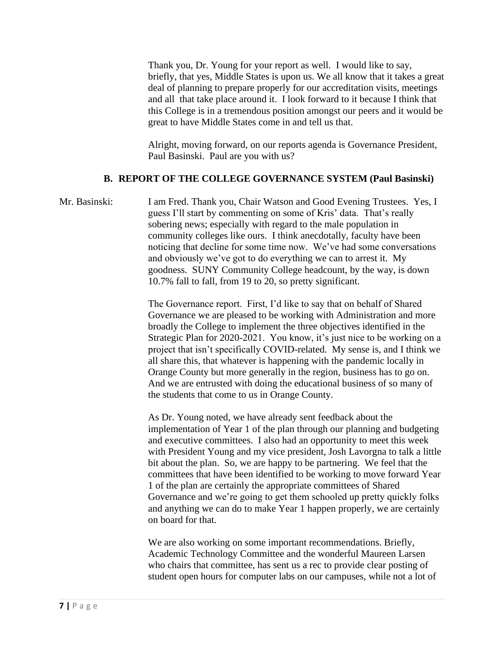Thank you, Dr. Young for your report as well. I would like to say, briefly, that yes, Middle States is upon us. We all know that it takes a great deal of planning to prepare properly for our accreditation visits, meetings and all that take place around it. I look forward to it because I think that this College is in a tremendous position amongst our peers and it would be great to have Middle States come in and tell us that.

Alright, moving forward, on our reports agenda is Governance President, Paul Basinski. Paul are you with us?

### **B. REPORT OF THE COLLEGE GOVERNANCE SYSTEM (Paul Basinski)**

Mr. Basinski: I am Fred. Thank you, Chair Watson and Good Evening Trustees. Yes, I guess I'll start by commenting on some of Kris' data. That's really sobering news; especially with regard to the male population in community colleges like ours. I think anecdotally, faculty have been noticing that decline for some time now. We've had some conversations and obviously we've got to do everything we can to arrest it. My goodness. SUNY Community College headcount, by the way, is down 10.7% fall to fall, from 19 to 20, so pretty significant.

> The Governance report. First, I'd like to say that on behalf of Shared Governance we are pleased to be working with Administration and more broadly the College to implement the three objectives identified in the Strategic Plan for 2020-2021. You know, it's just nice to be working on a project that isn't specifically COVID-related. My sense is, and I think we all share this, that whatever is happening with the pandemic locally in Orange County but more generally in the region, business has to go on. And we are entrusted with doing the educational business of so many of the students that come to us in Orange County.

> As Dr. Young noted, we have already sent feedback about the implementation of Year 1 of the plan through our planning and budgeting and executive committees. I also had an opportunity to meet this week with President Young and my vice president, Josh Lavorgna to talk a little bit about the plan. So, we are happy to be partnering. We feel that the committees that have been identified to be working to move forward Year 1 of the plan are certainly the appropriate committees of Shared Governance and we're going to get them schooled up pretty quickly folks and anything we can do to make Year 1 happen properly, we are certainly on board for that.

We are also working on some important recommendations. Briefly, Academic Technology Committee and the wonderful Maureen Larsen who chairs that committee, has sent us a rec to provide clear posting of student open hours for computer labs on our campuses, while not a lot of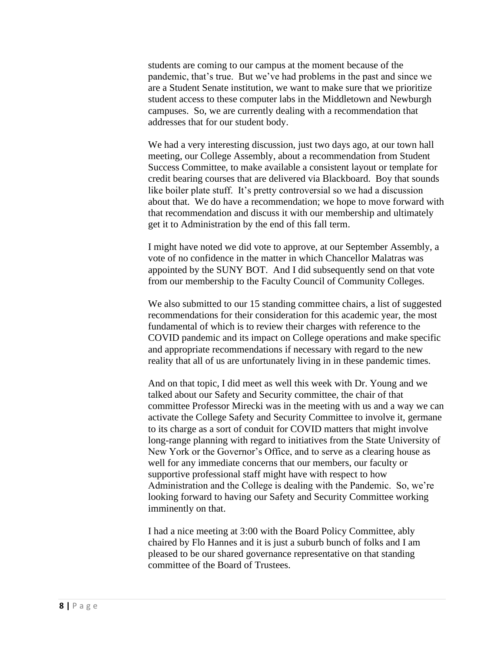students are coming to our campus at the moment because of the pandemic, that's true. But we've had problems in the past and since we are a Student Senate institution, we want to make sure that we prioritize student access to these computer labs in the Middletown and Newburgh campuses. So, we are currently dealing with a recommendation that addresses that for our student body.

We had a very interesting discussion, just two days ago, at our town hall meeting, our College Assembly, about a recommendation from Student Success Committee, to make available a consistent layout or template for credit bearing courses that are delivered via Blackboard. Boy that sounds like boiler plate stuff. It's pretty controversial so we had a discussion about that. We do have a recommendation; we hope to move forward with that recommendation and discuss it with our membership and ultimately get it to Administration by the end of this fall term.

I might have noted we did vote to approve, at our September Assembly, a vote of no confidence in the matter in which Chancellor Malatras was appointed by the SUNY BOT. And I did subsequently send on that vote from our membership to the Faculty Council of Community Colleges.

We also submitted to our 15 standing committee chairs, a list of suggested recommendations for their consideration for this academic year, the most fundamental of which is to review their charges with reference to the COVID pandemic and its impact on College operations and make specific and appropriate recommendations if necessary with regard to the new reality that all of us are unfortunately living in in these pandemic times.

And on that topic, I did meet as well this week with Dr. Young and we talked about our Safety and Security committee, the chair of that committee Professor Mirecki was in the meeting with us and a way we can activate the College Safety and Security Committee to involve it, germane to its charge as a sort of conduit for COVID matters that might involve long-range planning with regard to initiatives from the State University of New York or the Governor's Office, and to serve as a clearing house as well for any immediate concerns that our members, our faculty or supportive professional staff might have with respect to how Administration and the College is dealing with the Pandemic. So, we're looking forward to having our Safety and Security Committee working imminently on that.

I had a nice meeting at 3:00 with the Board Policy Committee, ably chaired by Flo Hannes and it is just a suburb bunch of folks and I am pleased to be our shared governance representative on that standing committee of the Board of Trustees.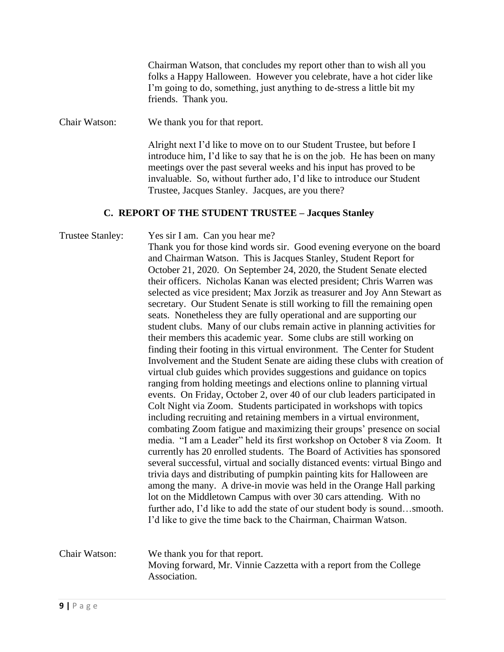Chairman Watson, that concludes my report other than to wish all you folks a Happy Halloween. However you celebrate, have a hot cider like I'm going to do, something, just anything to de-stress a little bit my friends. Thank you.

Chair Watson: We thank you for that report.

Alright next I'd like to move on to our Student Trustee, but before I introduce him, I'd like to say that he is on the job. He has been on many meetings over the past several weeks and his input has proved to be invaluable. So, without further ado, I'd like to introduce our Student Trustee, Jacques Stanley. Jacques, are you there?

### **C. REPORT OF THE STUDENT TRUSTEE – Jacques Stanley**

Trustee Stanley: Yes sir I am. Can you hear me? Thank you for those kind words sir. Good evening everyone on the board and Chairman Watson. This is Jacques Stanley, Student Report for October 21, 2020. On September 24, 2020, the Student Senate elected their officers. Nicholas Kanan was elected president; Chris Warren was selected as vice president; Max Jorzik as treasurer and Joy Ann Stewart as secretary. Our Student Senate is still working to fill the remaining open seats. Nonetheless they are fully operational and are supporting our student clubs. Many of our clubs remain active in planning activities for their members this academic year. Some clubs are still working on finding their footing in this virtual environment. The Center for Student Involvement and the Student Senate are aiding these clubs with creation of virtual club guides which provides suggestions and guidance on topics ranging from holding meetings and elections online to planning virtual events. On Friday, October 2, over 40 of our club leaders participated in Colt Night via Zoom. Students participated in workshops with topics including recruiting and retaining members in a virtual environment, combating Zoom fatigue and maximizing their groups' presence on social media. "I am a Leader" held its first workshop on October 8 via Zoom. It currently has 20 enrolled students. The Board of Activities has sponsored several successful, virtual and socially distanced events: virtual Bingo and trivia days and distributing of pumpkin painting kits for Halloween are among the many. A drive-in movie was held in the Orange Hall parking lot on the Middletown Campus with over 30 cars attending. With no further ado, I'd like to add the state of our student body is sound…smooth. I'd like to give the time back to the Chairman, Chairman Watson.

# Chair Watson: We thank you for that report. Moving forward, Mr. Vinnie Cazzetta with a report from the College Association.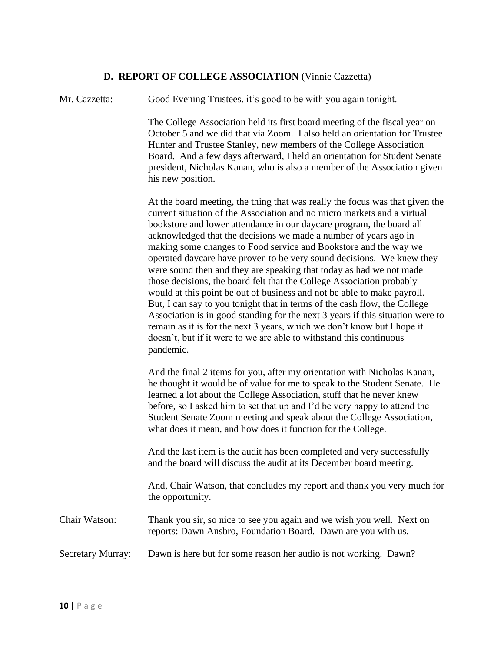### **D. REPORT OF COLLEGE ASSOCIATION** (Vinnie Cazzetta)

Mr. Cazzetta: Good Evening Trustees, it's good to be with you again tonight.

The College Association held its first board meeting of the fiscal year on October 5 and we did that via Zoom. I also held an orientation for Trustee Hunter and Trustee Stanley, new members of the College Association Board. And a few days afterward, I held an orientation for Student Senate president, Nicholas Kanan, who is also a member of the Association given his new position.

At the board meeting, the thing that was really the focus was that given the current situation of the Association and no micro markets and a virtual bookstore and lower attendance in our daycare program, the board all acknowledged that the decisions we made a number of years ago in making some changes to Food service and Bookstore and the way we operated daycare have proven to be very sound decisions. We knew they were sound then and they are speaking that today as had we not made those decisions, the board felt that the College Association probably would at this point be out of business and not be able to make payroll. But, I can say to you tonight that in terms of the cash flow, the College Association is in good standing for the next 3 years if this situation were to remain as it is for the next 3 years, which we don't know but I hope it doesn't, but if it were to we are able to withstand this continuous pandemic.

And the final 2 items for you, after my orientation with Nicholas Kanan, he thought it would be of value for me to speak to the Student Senate. He learned a lot about the College Association, stuff that he never knew before, so I asked him to set that up and I'd be very happy to attend the Student Senate Zoom meeting and speak about the College Association, what does it mean, and how does it function for the College.

And the last item is the audit has been completed and very successfully and the board will discuss the audit at its December board meeting.

And, Chair Watson, that concludes my report and thank you very much for the opportunity.

Chair Watson: Thank you sir, so nice to see you again and we wish you well. Next on reports: Dawn Ansbro, Foundation Board. Dawn are you with us.

Secretary Murray: Dawn is here but for some reason her audio is not working. Dawn?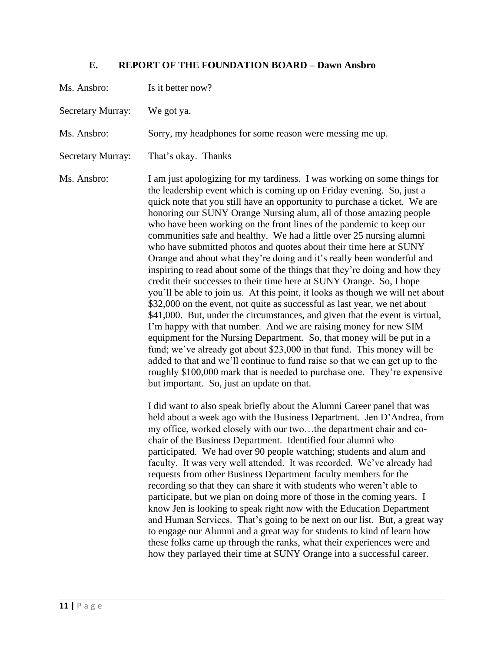# **E. REPORT OF THE FOUNDATION BOARD – Dawn Ansbro**

| Ms. Ansbro:              | Is it better now?                                                                                                                                                                                                                                                                                                                                                                                                                                                                                                                                                                                                                                                                                                                                                                                                                                                                                                                                                                                                                                                                                                                                                                                                                                                                                                                                                                                                                           |
|--------------------------|---------------------------------------------------------------------------------------------------------------------------------------------------------------------------------------------------------------------------------------------------------------------------------------------------------------------------------------------------------------------------------------------------------------------------------------------------------------------------------------------------------------------------------------------------------------------------------------------------------------------------------------------------------------------------------------------------------------------------------------------------------------------------------------------------------------------------------------------------------------------------------------------------------------------------------------------------------------------------------------------------------------------------------------------------------------------------------------------------------------------------------------------------------------------------------------------------------------------------------------------------------------------------------------------------------------------------------------------------------------------------------------------------------------------------------------------|
| <b>Secretary Murray:</b> | We got ya.                                                                                                                                                                                                                                                                                                                                                                                                                                                                                                                                                                                                                                                                                                                                                                                                                                                                                                                                                                                                                                                                                                                                                                                                                                                                                                                                                                                                                                  |
| Ms. Ansbro:              | Sorry, my headphones for some reason were messing me up.                                                                                                                                                                                                                                                                                                                                                                                                                                                                                                                                                                                                                                                                                                                                                                                                                                                                                                                                                                                                                                                                                                                                                                                                                                                                                                                                                                                    |
| <b>Secretary Murray:</b> | That's okay. Thanks                                                                                                                                                                                                                                                                                                                                                                                                                                                                                                                                                                                                                                                                                                                                                                                                                                                                                                                                                                                                                                                                                                                                                                                                                                                                                                                                                                                                                         |
| Ms. Ansbro:              | I am just apologizing for my tardiness. I was working on some things for<br>the leadership event which is coming up on Friday evening. So, just a<br>quick note that you still have an opportunity to purchase a ticket. We are<br>honoring our SUNY Orange Nursing alum, all of those amazing people<br>who have been working on the front lines of the pandemic to keep our<br>communities safe and healthy. We had a little over 25 nursing alumni<br>who have submitted photos and quotes about their time here at SUNY<br>Orange and about what they're doing and it's really been wonderful and<br>inspiring to read about some of the things that they're doing and how they<br>credit their successes to their time here at SUNY Orange. So, I hope<br>you'll be able to join us. At this point, it looks as though we will net about<br>\$32,000 on the event, not quite as successful as last year, we net about<br>\$41,000. But, under the circumstances, and given that the event is virtual,<br>I'm happy with that number. And we are raising money for new SIM<br>equipment for the Nursing Department. So, that money will be put in a<br>fund; we've already got about \$23,000 in that fund. This money will be<br>added to that and we'll continue to fund raise so that we can get up to the<br>roughly \$100,000 mark that is needed to purchase one. They're expensive<br>but important. So, just an update on that. |
|                          | I did want to also speak briefly about the Alumni Career panel that was<br>held about a week ago with the Business Department. Jen D'Andrea, from<br>my office, worked closely with our twothe department chair and co-<br>chair of the Business Department. Identified four alumni who<br>participated. We had over 90 people watching; students and alum and<br>faculty. It was very well attended. It was recorded. We've already had<br>requests from other Business Department faculty members for the<br>recording so that they can share it with students who weren't able to<br>participate, but we plan on doing more of those in the coming years. I<br>know Jen is looking to speak right now with the Education Department<br>and Human Services. That's going to be next on our list. But, a great way<br>to engage our Alumni and a great way for students to kind of learn how<br>these folks came up through the ranks, what their experiences were and<br>how they parlayed their time at SUNY Orange into a successful career.                                                                                                                                                                                                                                                                                                                                                                                            |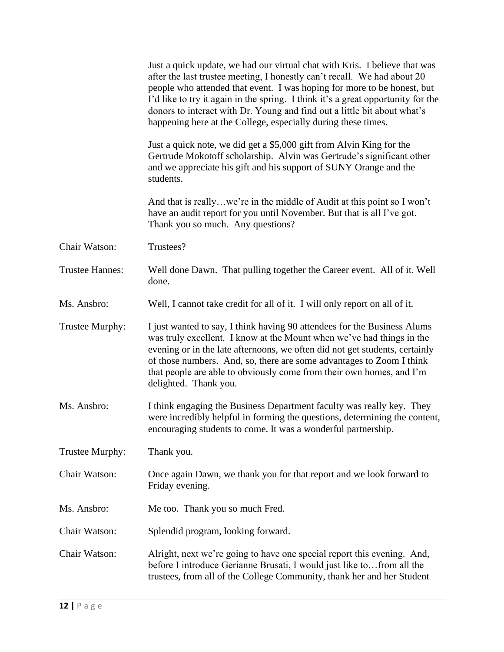|                        | Just a quick update, we had our virtual chat with Kris. I believe that was<br>after the last trustee meeting, I honestly can't recall. We had about 20<br>people who attended that event. I was hoping for more to be honest, but<br>I'd like to try it again in the spring. I think it's a great opportunity for the<br>donors to interact with Dr. Young and find out a little bit about what's<br>happening here at the College, especially during these times. |
|------------------------|--------------------------------------------------------------------------------------------------------------------------------------------------------------------------------------------------------------------------------------------------------------------------------------------------------------------------------------------------------------------------------------------------------------------------------------------------------------------|
|                        | Just a quick note, we did get a \$5,000 gift from Alvin King for the<br>Gertrude Mokotoff scholarship. Alvin was Gertrude's significant other<br>and we appreciate his gift and his support of SUNY Orange and the<br>students.                                                                                                                                                                                                                                    |
|                        | And that is reallywe're in the middle of Audit at this point so I won't<br>have an audit report for you until November. But that is all I've got.<br>Thank you so much. Any questions?                                                                                                                                                                                                                                                                             |
| Chair Watson:          | Trustees?                                                                                                                                                                                                                                                                                                                                                                                                                                                          |
| <b>Trustee Hannes:</b> | Well done Dawn. That pulling together the Career event. All of it. Well<br>done.                                                                                                                                                                                                                                                                                                                                                                                   |
| Ms. Ansbro:            | Well, I cannot take credit for all of it. I will only report on all of it.                                                                                                                                                                                                                                                                                                                                                                                         |
| Trustee Murphy:        | I just wanted to say, I think having 90 attendees for the Business Alums<br>was truly excellent. I know at the Mount when we've had things in the<br>evening or in the late afternoons, we often did not get students, certainly<br>of those numbers. And, so, there are some advantages to Zoom I think<br>that people are able to obviously come from their own homes, and I'm<br>delighted. Thank you.                                                          |
| Ms. Ansbro:            | I think engaging the Business Department faculty was really key. They<br>were incredibly helpful in forming the questions, determining the content,<br>encouraging students to come. It was a wonderful partnership.                                                                                                                                                                                                                                               |
| Trustee Murphy:        | Thank you.                                                                                                                                                                                                                                                                                                                                                                                                                                                         |
| Chair Watson:          | Once again Dawn, we thank you for that report and we look forward to<br>Friday evening.                                                                                                                                                                                                                                                                                                                                                                            |
| Ms. Ansbro:            | Me too. Thank you so much Fred.                                                                                                                                                                                                                                                                                                                                                                                                                                    |
| Chair Watson:          | Splendid program, looking forward.                                                                                                                                                                                                                                                                                                                                                                                                                                 |
| Chair Watson:          | Alright, next we're going to have one special report this evening. And,<br>before I introduce Gerianne Brusati, I would just like to from all the<br>trustees, from all of the College Community, thank her and her Student                                                                                                                                                                                                                                        |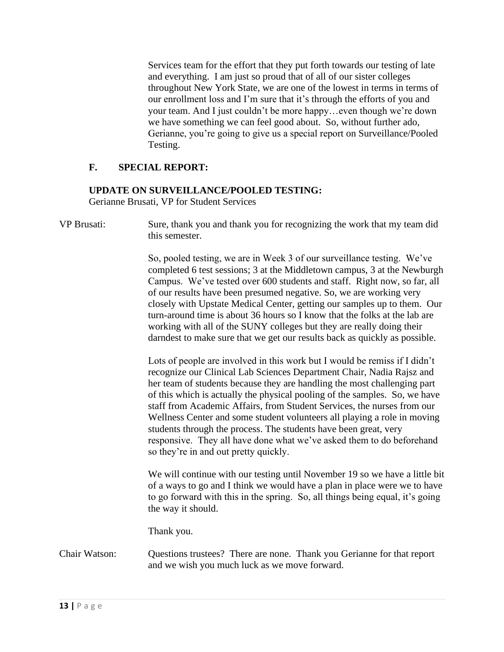Services team for the effort that they put forth towards our testing of late and everything. I am just so proud that of all of our sister colleges throughout New York State, we are one of the lowest in terms in terms of our enrollment loss and I'm sure that it's through the efforts of you and your team. And I just couldn't be more happy…even though we're down we have something we can feel good about. So, without further ado, Gerianne, you're going to give us a special report on Surveillance/Pooled Testing.

# **F. SPECIAL REPORT:**

# **UPDATE ON SURVEILLANCE/POOLED TESTING:**

Gerianne Brusati, VP for Student Services

VP Brusati: Sure, thank you and thank you for recognizing the work that my team did this semester.

> So, pooled testing, we are in Week 3 of our surveillance testing. We've completed 6 test sessions; 3 at the Middletown campus, 3 at the Newburgh Campus. We've tested over 600 students and staff. Right now, so far, all of our results have been presumed negative. So, we are working very closely with Upstate Medical Center, getting our samples up to them. Our turn-around time is about 36 hours so I know that the folks at the lab are working with all of the SUNY colleges but they are really doing their darndest to make sure that we get our results back as quickly as possible.

Lots of people are involved in this work but I would be remiss if I didn't recognize our Clinical Lab Sciences Department Chair, Nadia Rajsz and her team of students because they are handling the most challenging part of this which is actually the physical pooling of the samples. So, we have staff from Academic Affairs, from Student Services, the nurses from our Wellness Center and some student volunteers all playing a role in moving students through the process. The students have been great, very responsive. They all have done what we've asked them to do beforehand so they're in and out pretty quickly.

We will continue with our testing until November 19 so we have a little bit of a ways to go and I think we would have a plan in place were we to have to go forward with this in the spring. So, all things being equal, it's going the way it should.

Thank you.

Chair Watson: Questions trustees? There are none. Thank you Gerianne for that report and we wish you much luck as we move forward.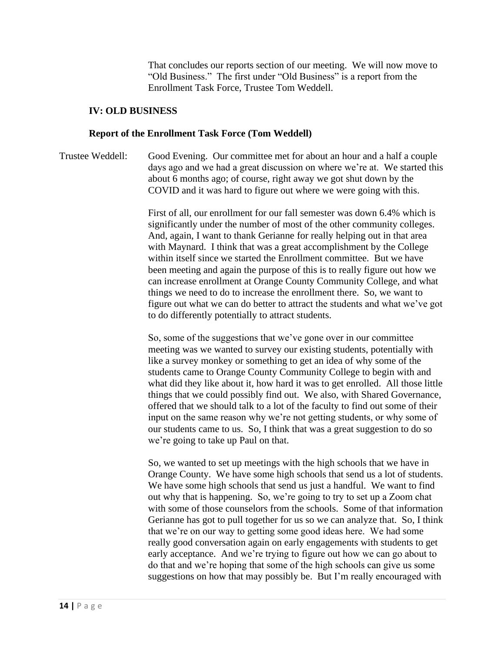That concludes our reports section of our meeting. We will now move to "Old Business." The first under "Old Business" is a report from the Enrollment Task Force, Trustee Tom Weddell.

#### **IV: OLD BUSINESS**

#### **Report of the Enrollment Task Force (Tom Weddell)**

Trustee Weddell: Good Evening. Our committee met for about an hour and a half a couple days ago and we had a great discussion on where we're at. We started this about 6 months ago; of course, right away we got shut down by the COVID and it was hard to figure out where we were going with this.

> First of all, our enrollment for our fall semester was down 6.4% which is significantly under the number of most of the other community colleges. And, again, I want to thank Gerianne for really helping out in that area with Maynard. I think that was a great accomplishment by the College within itself since we started the Enrollment committee. But we have been meeting and again the purpose of this is to really figure out how we can increase enrollment at Orange County Community College, and what things we need to do to increase the enrollment there. So, we want to figure out what we can do better to attract the students and what we've got to do differently potentially to attract students.

> So, some of the suggestions that we've gone over in our committee meeting was we wanted to survey our existing students, potentially with like a survey monkey or something to get an idea of why some of the students came to Orange County Community College to begin with and what did they like about it, how hard it was to get enrolled. All those little things that we could possibly find out. We also, with Shared Governance, offered that we should talk to a lot of the faculty to find out some of their input on the same reason why we're not getting students, or why some of our students came to us. So, I think that was a great suggestion to do so we're going to take up Paul on that.

> So, we wanted to set up meetings with the high schools that we have in Orange County. We have some high schools that send us a lot of students. We have some high schools that send us just a handful. We want to find out why that is happening. So, we're going to try to set up a Zoom chat with some of those counselors from the schools. Some of that information Gerianne has got to pull together for us so we can analyze that. So, I think that we're on our way to getting some good ideas here. We had some really good conversation again on early engagements with students to get early acceptance. And we're trying to figure out how we can go about to do that and we're hoping that some of the high schools can give us some suggestions on how that may possibly be. But I'm really encouraged with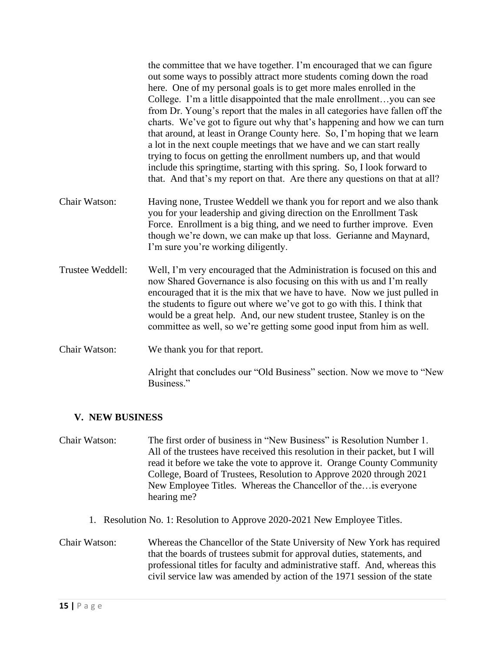|                  | the committee that we have together. I'm encouraged that we can figure<br>out some ways to possibly attract more students coming down the road<br>here. One of my personal goals is to get more males enrolled in the<br>College. I'm a little disappointed that the male enrollmentyou can see<br>from Dr. Young's report that the males in all categories have fallen off the<br>charts. We've got to figure out why that's happening and how we can turn<br>that around, at least in Orange County here. So, I'm hoping that we learn<br>a lot in the next couple meetings that we have and we can start really<br>trying to focus on getting the enrollment numbers up, and that would<br>include this springtime, starting with this spring. So, I look forward to<br>that. And that's my report on that. Are there any questions on that at all? |
|------------------|--------------------------------------------------------------------------------------------------------------------------------------------------------------------------------------------------------------------------------------------------------------------------------------------------------------------------------------------------------------------------------------------------------------------------------------------------------------------------------------------------------------------------------------------------------------------------------------------------------------------------------------------------------------------------------------------------------------------------------------------------------------------------------------------------------------------------------------------------------|
| Chair Watson:    | Having none, Trustee Weddell we thank you for report and we also thank<br>you for your leadership and giving direction on the Enrollment Task<br>Force. Enrollment is a big thing, and we need to further improve. Even<br>though we're down, we can make up that loss. Gerianne and Maynard,<br>I'm sure you're working diligently.                                                                                                                                                                                                                                                                                                                                                                                                                                                                                                                   |
| Trustee Weddell: | Well, I'm very encouraged that the Administration is focused on this and<br>now Shared Governance is also focusing on this with us and I'm really<br>encouraged that it is the mix that we have to have. Now we just pulled in<br>the students to figure out where we've got to go with this. I think that<br>would be a great help. And, our new student trustee, Stanley is on the<br>committee as well, so we're getting some good input from him as well.                                                                                                                                                                                                                                                                                                                                                                                          |
| Chair Watson:    | We thank you for that report.                                                                                                                                                                                                                                                                                                                                                                                                                                                                                                                                                                                                                                                                                                                                                                                                                          |
|                  | Alright that concludes our "Old Business" section. Now we move to "New<br>Business."                                                                                                                                                                                                                                                                                                                                                                                                                                                                                                                                                                                                                                                                                                                                                                   |

# **V. NEW BUSINESS**

- Chair Watson: The first order of business in "New Business" is Resolution Number 1. All of the trustees have received this resolution in their packet, but I will read it before we take the vote to approve it. Orange County Community College, Board of Trustees, Resolution to Approve 2020 through 2021 New Employee Titles. Whereas the Chancellor of the…is everyone hearing me?
	- 1. Resolution No. 1: Resolution to Approve 2020-2021 New Employee Titles.
- Chair Watson: Whereas the Chancellor of the State University of New York has required that the boards of trustees submit for approval duties, statements, and professional titles for faculty and administrative staff. And, whereas this civil service law was amended by action of the 1971 session of the state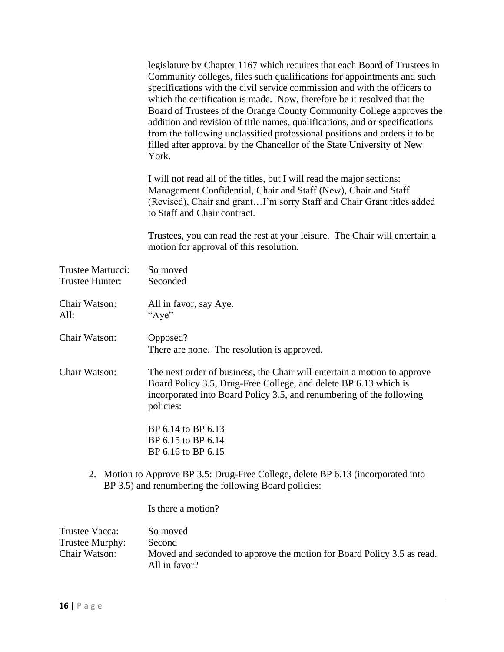|                                                    | legislature by Chapter 1167 which requires that each Board of Trustees in<br>Community colleges, files such qualifications for appointments and such<br>specifications with the civil service commission and with the officers to<br>which the certification is made. Now, therefore be it resolved that the<br>Board of Trustees of the Orange County Community College approves the<br>addition and revision of title names, qualifications, and or specifications<br>from the following unclassified professional positions and orders it to be<br>filled after approval by the Chancellor of the State University of New<br>York. |
|----------------------------------------------------|---------------------------------------------------------------------------------------------------------------------------------------------------------------------------------------------------------------------------------------------------------------------------------------------------------------------------------------------------------------------------------------------------------------------------------------------------------------------------------------------------------------------------------------------------------------------------------------------------------------------------------------|
|                                                    | I will not read all of the titles, but I will read the major sections:<br>Management Confidential, Chair and Staff (New), Chair and Staff<br>(Revised), Chair and grantI'm sorry Staff and Chair Grant titles added<br>to Staff and Chair contract.                                                                                                                                                                                                                                                                                                                                                                                   |
|                                                    | Trustees, you can read the rest at your leisure. The Chair will entertain a<br>motion for approval of this resolution.                                                                                                                                                                                                                                                                                                                                                                                                                                                                                                                |
| Trustee Martucci:<br>Trustee Hunter:               | So moved<br>Seconded                                                                                                                                                                                                                                                                                                                                                                                                                                                                                                                                                                                                                  |
| Chair Watson:<br>All:                              | All in favor, say Aye.<br>"Aye"                                                                                                                                                                                                                                                                                                                                                                                                                                                                                                                                                                                                       |
| Chair Watson:                                      | Opposed?<br>There are none. The resolution is approved.                                                                                                                                                                                                                                                                                                                                                                                                                                                                                                                                                                               |
| Chair Watson:                                      | The next order of business, the Chair will entertain a motion to approve<br>Board Policy 3.5, Drug-Free College, and delete BP 6.13 which is<br>incorporated into Board Policy 3.5, and renumbering of the following<br>policies:                                                                                                                                                                                                                                                                                                                                                                                                     |
|                                                    | BP 6.14 to BP 6.13<br>BP 6.15 to BP 6.14<br>BP 6.16 to BP 6.15                                                                                                                                                                                                                                                                                                                                                                                                                                                                                                                                                                        |
| 2.                                                 | Motion to Approve BP 3.5: Drug-Free College, delete BP 6.13 (incorporated into<br>BP 3.5) and renumbering the following Board policies:                                                                                                                                                                                                                                                                                                                                                                                                                                                                                               |
|                                                    | Is there a motion?                                                                                                                                                                                                                                                                                                                                                                                                                                                                                                                                                                                                                    |
| Trustee Vacca:<br>Trustee Murphy:<br>Chair Watson: | So moved<br>Second<br>Moved and seconded to approve the motion for Board Policy 3.5 as read.<br>All in favor?                                                                                                                                                                                                                                                                                                                                                                                                                                                                                                                         |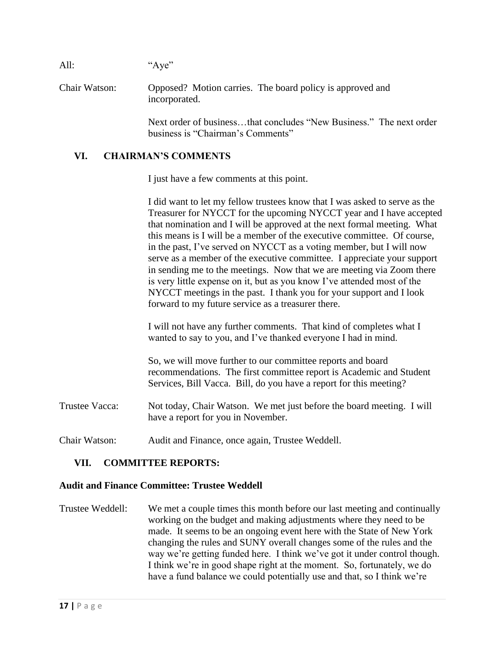| All:          | "Aye"                                                                                                    |
|---------------|----------------------------------------------------------------------------------------------------------|
| Chair Watson: | Opposed? Motion carries. The board policy is approved and<br>incorporated.                               |
|               | Next order of businessthat concludes "New Business." The next order<br>business is "Chairman's Comments" |

## **VI. CHAIRMAN'S COMMENTS**

I just have a few comments at this point.

I did want to let my fellow trustees know that I was asked to serve as the Treasurer for NYCCT for the upcoming NYCCT year and I have accepted that nomination and I will be approved at the next formal meeting. What this means is I will be a member of the executive committee. Of course, in the past, I've served on NYCCT as a voting member, but I will now serve as a member of the executive committee. I appreciate your support in sending me to the meetings. Now that we are meeting via Zoom there is very little expense on it, but as you know I've attended most of the NYCCT meetings in the past. I thank you for your support and I look forward to my future service as a treasurer there.

I will not have any further comments. That kind of completes what I wanted to say to you, and I've thanked everyone I had in mind.

So, we will move further to our committee reports and board recommendations. The first committee report is Academic and Student Services, Bill Vacca. Bill, do you have a report for this meeting?

- Trustee Vacca: Not today, Chair Watson. We met just before the board meeting. I will have a report for you in November.
- Chair Watson: Audit and Finance, once again, Trustee Weddell.

#### **VII. COMMITTEE REPORTS:**

#### **Audit and Finance Committee: Trustee Weddell**

Trustee Weddell: We met a couple times this month before our last meeting and continually working on the budget and making adjustments where they need to be made. It seems to be an ongoing event here with the State of New York changing the rules and SUNY overall changes some of the rules and the way we're getting funded here. I think we've got it under control though. I think we're in good shape right at the moment. So, fortunately, we do have a fund balance we could potentially use and that, so I think we're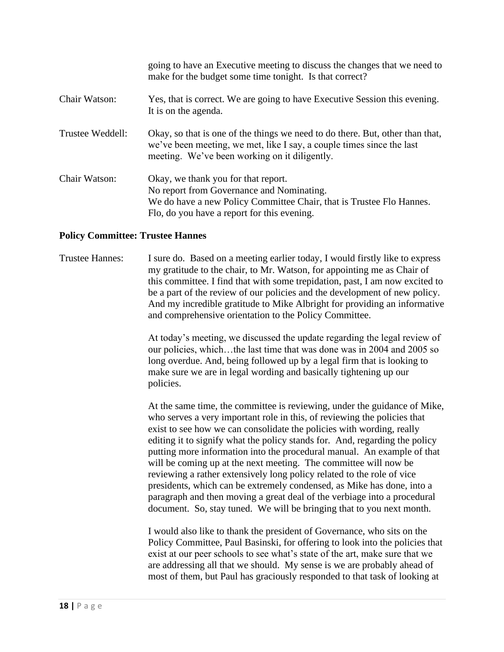|                  | going to have an Executive meeting to discuss the changes that we need to<br>make for the budget some time tonight. Is that correct?                                                                    |
|------------------|---------------------------------------------------------------------------------------------------------------------------------------------------------------------------------------------------------|
| Chair Watson:    | Yes, that is correct. We are going to have Executive Session this evening.<br>It is on the agenda.                                                                                                      |
| Trustee Weddell: | Okay, so that is one of the things we need to do there. But, other than that,<br>we've been meeting, we met, like I say, a couple times since the last<br>meeting. We've been working on it diligently. |
| Chair Watson:    | Okay, we thank you for that report.<br>No report from Governance and Nominating.<br>We do have a new Policy Committee Chair, that is Trustee Flo Hannes.<br>Flo, do you have a report for this evening. |

#### **Policy Committee: Trustee Hannes**

Trustee Hannes: I sure do. Based on a meeting earlier today, I would firstly like to express my gratitude to the chair, to Mr. Watson, for appointing me as Chair of this committee. I find that with some trepidation, past, I am now excited to be a part of the review of our policies and the development of new policy. And my incredible gratitude to Mike Albright for providing an informative and comprehensive orientation to the Policy Committee.

> At today's meeting, we discussed the update regarding the legal review of our policies, which…the last time that was done was in 2004 and 2005 so long overdue. And, being followed up by a legal firm that is looking to make sure we are in legal wording and basically tightening up our policies.

At the same time, the committee is reviewing, under the guidance of Mike, who serves a very important role in this, of reviewing the policies that exist to see how we can consolidate the policies with wording, really editing it to signify what the policy stands for. And, regarding the policy putting more information into the procedural manual. An example of that will be coming up at the next meeting. The committee will now be reviewing a rather extensively long policy related to the role of vice presidents, which can be extremely condensed, as Mike has done, into a paragraph and then moving a great deal of the verbiage into a procedural document. So, stay tuned. We will be bringing that to you next month.

I would also like to thank the president of Governance, who sits on the Policy Committee, Paul Basinski, for offering to look into the policies that exist at our peer schools to see what's state of the art, make sure that we are addressing all that we should. My sense is we are probably ahead of most of them, but Paul has graciously responded to that task of looking at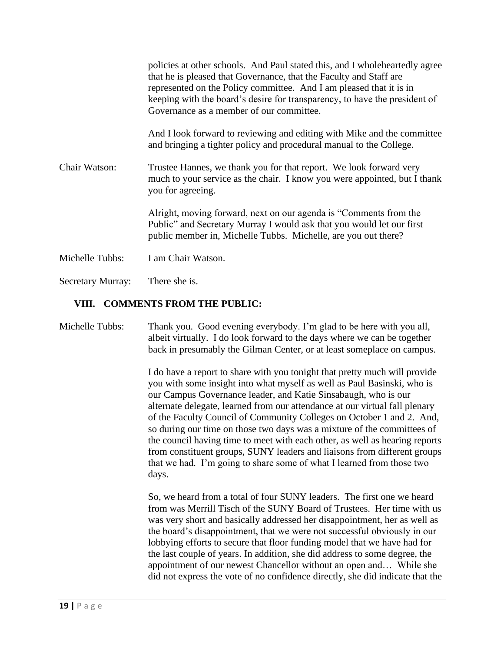|                          | policies at other schools. And Paul stated this, and I whole heartedly agree<br>that he is pleased that Governance, that the Faculty and Staff are<br>represented on the Policy committee. And I am pleased that it is in<br>keeping with the board's desire for transparency, to have the president of<br>Governance as a member of our committee. |
|--------------------------|-----------------------------------------------------------------------------------------------------------------------------------------------------------------------------------------------------------------------------------------------------------------------------------------------------------------------------------------------------|
|                          | And I look forward to reviewing and editing with Mike and the committee<br>and bringing a tighter policy and procedural manual to the College.                                                                                                                                                                                                      |
| Chair Watson:            | Trustee Hannes, we thank you for that report. We look forward very<br>much to your service as the chair. I know you were appointed, but I thank<br>you for agreeing.                                                                                                                                                                                |
|                          | Alright, moving forward, next on our agenda is "Comments from the<br>Public" and Secretary Murray I would ask that you would let our first<br>public member in, Michelle Tubbs. Michelle, are you out there?                                                                                                                                        |
| Michelle Tubbs:          | I am Chair Watson.                                                                                                                                                                                                                                                                                                                                  |
| <b>Secretary Murray:</b> | There she is.                                                                                                                                                                                                                                                                                                                                       |

# **VIII. COMMENTS FROM THE PUBLIC:**

Michelle Tubbs: Thank you. Good evening everybody. I'm glad to be here with you all, albeit virtually. I do look forward to the days where we can be together back in presumably the Gilman Center, or at least someplace on campus.

> I do have a report to share with you tonight that pretty much will provide you with some insight into what myself as well as Paul Basinski, who is our Campus Governance leader, and Katie Sinsabaugh, who is our alternate delegate, learned from our attendance at our virtual fall plenary of the Faculty Council of Community Colleges on October 1 and 2. And, so during our time on those two days was a mixture of the committees of the council having time to meet with each other, as well as hearing reports from constituent groups, SUNY leaders and liaisons from different groups that we had. I'm going to share some of what I learned from those two days.

> So, we heard from a total of four SUNY leaders. The first one we heard from was Merrill Tisch of the SUNY Board of Trustees. Her time with us was very short and basically addressed her disappointment, her as well as the board's disappointment, that we were not successful obviously in our lobbying efforts to secure that floor funding model that we have had for the last couple of years. In addition, she did address to some degree, the appointment of our newest Chancellor without an open and… While she did not express the vote of no confidence directly, she did indicate that the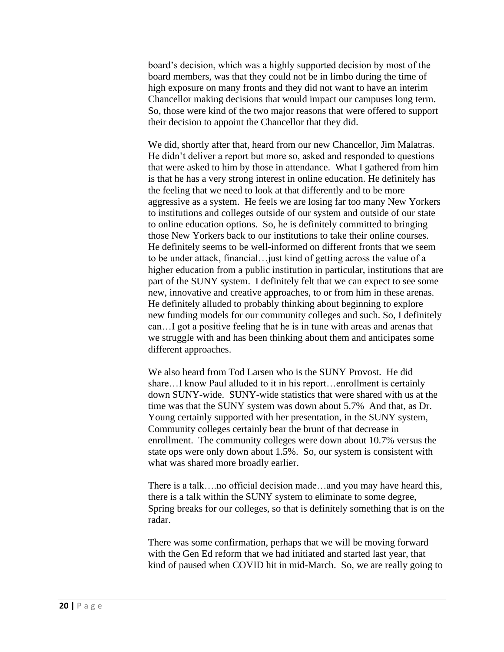board's decision, which was a highly supported decision by most of the board members, was that they could not be in limbo during the time of high exposure on many fronts and they did not want to have an interim Chancellor making decisions that would impact our campuses long term. So, those were kind of the two major reasons that were offered to support their decision to appoint the Chancellor that they did.

We did, shortly after that, heard from our new Chancellor, Jim Malatras. He didn't deliver a report but more so, asked and responded to questions that were asked to him by those in attendance. What I gathered from him is that he has a very strong interest in online education. He definitely has the feeling that we need to look at that differently and to be more aggressive as a system. He feels we are losing far too many New Yorkers to institutions and colleges outside of our system and outside of our state to online education options. So, he is definitely committed to bringing those New Yorkers back to our institutions to take their online courses. He definitely seems to be well-informed on different fronts that we seem to be under attack, financial…just kind of getting across the value of a higher education from a public institution in particular, institutions that are part of the SUNY system. I definitely felt that we can expect to see some new, innovative and creative approaches, to or from him in these arenas. He definitely alluded to probably thinking about beginning to explore new funding models for our community colleges and such. So, I definitely can…I got a positive feeling that he is in tune with areas and arenas that we struggle with and has been thinking about them and anticipates some different approaches.

We also heard from Tod Larsen who is the SUNY Provost. He did share...I know Paul alluded to it in his report...enrollment is certainly down SUNY-wide. SUNY-wide statistics that were shared with us at the time was that the SUNY system was down about 5.7% And that, as Dr. Young certainly supported with her presentation, in the SUNY system, Community colleges certainly bear the brunt of that decrease in enrollment. The community colleges were down about 10.7% versus the state ops were only down about 1.5%. So, our system is consistent with what was shared more broadly earlier.

There is a talk….no official decision made…and you may have heard this, there is a talk within the SUNY system to eliminate to some degree, Spring breaks for our colleges, so that is definitely something that is on the radar.

There was some confirmation, perhaps that we will be moving forward with the Gen Ed reform that we had initiated and started last year, that kind of paused when COVID hit in mid-March. So, we are really going to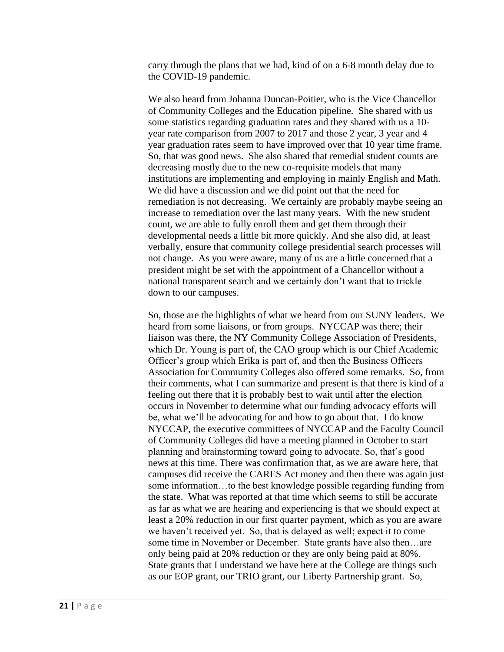carry through the plans that we had, kind of on a 6-8 month delay due to the COVID-19 pandemic.

We also heard from Johanna Duncan-Poitier, who is the Vice Chancellor of Community Colleges and the Education pipeline. She shared with us some statistics regarding graduation rates and they shared with us a 10 year rate comparison from 2007 to 2017 and those 2 year, 3 year and 4 year graduation rates seem to have improved over that 10 year time frame. So, that was good news. She also shared that remedial student counts are decreasing mostly due to the new co-requisite models that many institutions are implementing and employing in mainly English and Math. We did have a discussion and we did point out that the need for remediation is not decreasing. We certainly are probably maybe seeing an increase to remediation over the last many years. With the new student count, we are able to fully enroll them and get them through their developmental needs a little bit more quickly. And she also did, at least verbally, ensure that community college presidential search processes will not change. As you were aware, many of us are a little concerned that a president might be set with the appointment of a Chancellor without a national transparent search and we certainly don't want that to trickle down to our campuses.

So, those are the highlights of what we heard from our SUNY leaders. We heard from some liaisons, or from groups. NYCCAP was there; their liaison was there, the NY Community College Association of Presidents, which Dr. Young is part of, the CAO group which is our Chief Academic Officer's group which Erika is part of, and then the Business Officers Association for Community Colleges also offered some remarks. So, from their comments, what I can summarize and present is that there is kind of a feeling out there that it is probably best to wait until after the election occurs in November to determine what our funding advocacy efforts will be, what we'll be advocating for and how to go about that. I do know NYCCAP, the executive committees of NYCCAP and the Faculty Council of Community Colleges did have a meeting planned in October to start planning and brainstorming toward going to advocate. So, that's good news at this time. There was confirmation that, as we are aware here, that campuses did receive the CARES Act money and then there was again just some information…to the best knowledge possible regarding funding from the state. What was reported at that time which seems to still be accurate as far as what we are hearing and experiencing is that we should expect at least a 20% reduction in our first quarter payment, which as you are aware we haven't received yet. So, that is delayed as well; expect it to come some time in November or December. State grants have also then…are only being paid at 20% reduction or they are only being paid at 80%. State grants that I understand we have here at the College are things such as our EOP grant, our TRIO grant, our Liberty Partnership grant. So,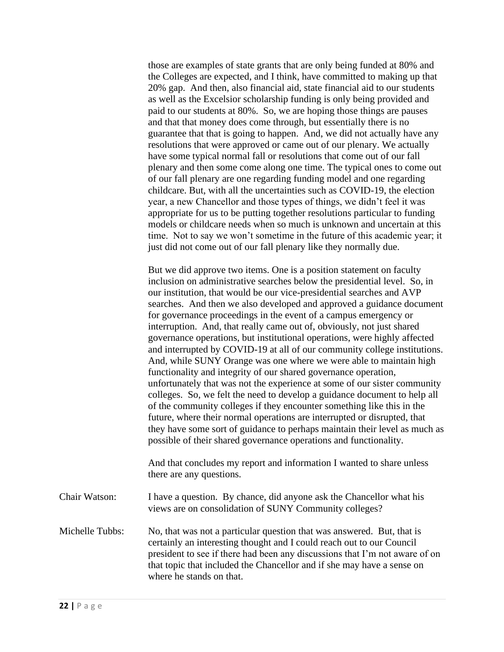those are examples of state grants that are only being funded at 80% and the Colleges are expected, and I think, have committed to making up that 20% gap. And then, also financial aid, state financial aid to our students as well as the Excelsior scholarship funding is only being provided and paid to our students at 80%. So, we are hoping those things are pauses and that that money does come through, but essentially there is no guarantee that that is going to happen. And, we did not actually have any resolutions that were approved or came out of our plenary. We actually have some typical normal fall or resolutions that come out of our fall plenary and then some come along one time. The typical ones to come out of our fall plenary are one regarding funding model and one regarding childcare. But, with all the uncertainties such as COVID-19, the election year, a new Chancellor and those types of things, we didn't feel it was appropriate for us to be putting together resolutions particular to funding models or childcare needs when so much is unknown and uncertain at this time. Not to say we won't sometime in the future of this academic year; it just did not come out of our fall plenary like they normally due.

But we did approve two items. One is a position statement on faculty inclusion on administrative searches below the presidential level. So, in our institution, that would be our vice-presidential searches and AVP searches. And then we also developed and approved a guidance document for governance proceedings in the event of a campus emergency or interruption. And, that really came out of, obviously, not just shared governance operations, but institutional operations, were highly affected and interrupted by COVID-19 at all of our community college institutions. And, while SUNY Orange was one where we were able to maintain high functionality and integrity of our shared governance operation, unfortunately that was not the experience at some of our sister community colleges. So, we felt the need to develop a guidance document to help all of the community colleges if they encounter something like this in the future, where their normal operations are interrupted or disrupted, that they have some sort of guidance to perhaps maintain their level as much as possible of their shared governance operations and functionality.

And that concludes my report and information I wanted to share unless there are any questions.

Chair Watson: I have a question. By chance, did anyone ask the Chancellor what his views are on consolidation of SUNY Community colleges?

Michelle Tubbs: No, that was not a particular question that was answered. But, that is certainly an interesting thought and I could reach out to our Council president to see if there had been any discussions that I'm not aware of on that topic that included the Chancellor and if she may have a sense on where he stands on that.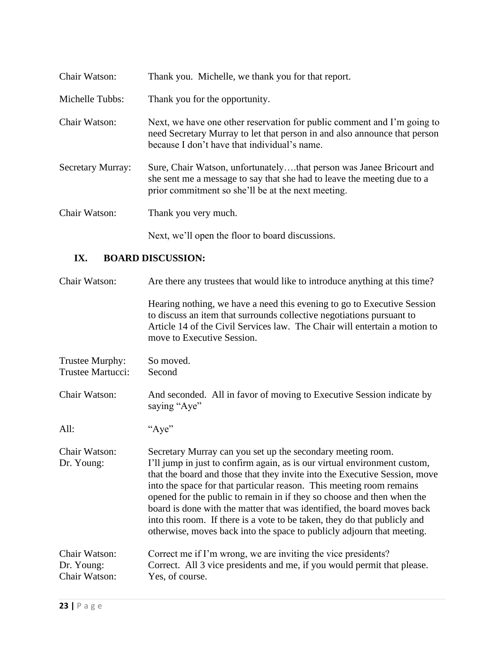| Chair Watson:            | Thank you. Michelle, we thank you for that report.                                                                                                                                                   |
|--------------------------|------------------------------------------------------------------------------------------------------------------------------------------------------------------------------------------------------|
| Michelle Tubbs:          | Thank you for the opportunity.                                                                                                                                                                       |
| <b>Chair Watson:</b>     | Next, we have one other reservation for public comment and I'm going to<br>need Secretary Murray to let that person in and also announce that person<br>because I don't have that individual's name. |
| <b>Secretary Murray:</b> | Sure, Chair Watson, unfortunatelythat person was Janee Bricourt and<br>she sent me a message to say that she had to leave the meeting due to a<br>prior commitment so she'll be at the next meeting. |
| Chair Watson:            | Thank you very much.                                                                                                                                                                                 |
|                          | Next, we'll open the floor to board discussions.                                                                                                                                                     |

# **IX. BOARD DISCUSSION:**

| Chair Watson:                                | Are there any trustees that would like to introduce anything at this time?                                                                                                                                                                                                                                                                                                                                                                                                                                                                                                                                 |
|----------------------------------------------|------------------------------------------------------------------------------------------------------------------------------------------------------------------------------------------------------------------------------------------------------------------------------------------------------------------------------------------------------------------------------------------------------------------------------------------------------------------------------------------------------------------------------------------------------------------------------------------------------------|
|                                              | Hearing nothing, we have a need this evening to go to Executive Session<br>to discuss an item that surrounds collective negotiations pursuant to<br>Article 14 of the Civil Services law. The Chair will entertain a motion to<br>move to Executive Session.                                                                                                                                                                                                                                                                                                                                               |
| Trustee Murphy:<br>Trustee Martucci:         | So moved.<br>Second                                                                                                                                                                                                                                                                                                                                                                                                                                                                                                                                                                                        |
| Chair Watson:                                | And seconded. All in favor of moving to Executive Session indicate by<br>saying "Aye"                                                                                                                                                                                                                                                                                                                                                                                                                                                                                                                      |
| All:                                         | "Aye"                                                                                                                                                                                                                                                                                                                                                                                                                                                                                                                                                                                                      |
| Chair Watson:<br>Dr. Young:                  | Secretary Murray can you set up the secondary meeting room.<br>I'll jump in just to confirm again, as is our virtual environment custom,<br>that the board and those that they invite into the Executive Session, move<br>into the space for that particular reason. This meeting room remains<br>opened for the public to remain in if they so choose and then when the<br>board is done with the matter that was identified, the board moves back<br>into this room. If there is a vote to be taken, they do that publicly and<br>otherwise, moves back into the space to publicly adjourn that meeting. |
| Chair Watson:<br>Dr. Young:<br>Chair Watson: | Correct me if I'm wrong, we are inviting the vice presidents?<br>Correct. All 3 vice presidents and me, if you would permit that please.<br>Yes, of course.                                                                                                                                                                                                                                                                                                                                                                                                                                                |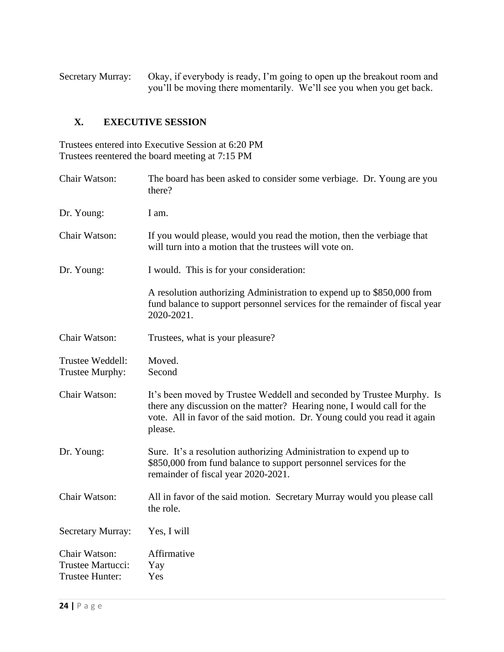Secretary Murray: Okay, if everybody is ready, I'm going to open up the breakout room and you'll be moving there momentarily. We'll see you when you get back.

# **X. EXECUTIVE SESSION**

Trustees entered into Executive Session at 6:20 PM Trustees reentered the board meeting at 7:15 PM

| Chair Watson:                                         | The board has been asked to consider some verbiage. Dr. Young are you<br>there?                                                                                                                                                        |
|-------------------------------------------------------|----------------------------------------------------------------------------------------------------------------------------------------------------------------------------------------------------------------------------------------|
| Dr. Young:                                            | I am.                                                                                                                                                                                                                                  |
| Chair Watson:                                         | If you would please, would you read the motion, then the verbiage that<br>will turn into a motion that the trustees will vote on.                                                                                                      |
| Dr. Young:                                            | I would. This is for your consideration:                                                                                                                                                                                               |
|                                                       | A resolution authorizing Administration to expend up to \$850,000 from<br>fund balance to support personnel services for the remainder of fiscal year<br>2020-2021.                                                                    |
| Chair Watson:                                         | Trustees, what is your pleasure?                                                                                                                                                                                                       |
| Trustee Weddell:<br>Trustee Murphy:                   | Moved.<br>Second                                                                                                                                                                                                                       |
| Chair Watson:                                         | It's been moved by Trustee Weddell and seconded by Trustee Murphy. Is<br>there any discussion on the matter? Hearing none, I would call for the<br>vote. All in favor of the said motion. Dr. Young could you read it again<br>please. |
| Dr. Young:                                            | Sure. It's a resolution authorizing Administration to expend up to<br>\$850,000 from fund balance to support personnel services for the<br>remainder of fiscal year 2020-2021.                                                         |
| Chair Watson:                                         | All in favor of the said motion. Secretary Murray would you please call<br>the role.                                                                                                                                                   |
| <b>Secretary Murray:</b>                              | Yes, I will                                                                                                                                                                                                                            |
| Chair Watson:<br>Trustee Martucci:<br>Trustee Hunter: | Affirmative<br>Yay<br>Yes                                                                                                                                                                                                              |